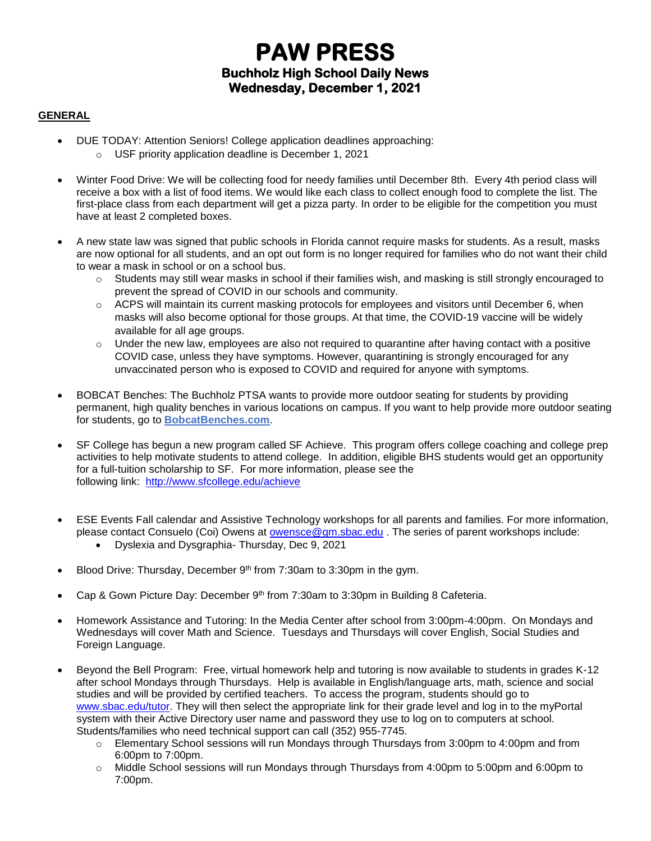# **PAW PRESS Buchholz High School Daily News Wednesday, December 1, 2021**

#### **GENERAL**

- DUE TODAY: Attention Seniors! College application deadlines approaching: o USF priority application deadline is December 1, 2021
- Winter Food Drive: We will be collecting food for needy families until December 8th. Every 4th period class will receive a box with a list of food items. We would like each class to collect enough food to complete the list. The first-place class from each department will get a pizza party. In order to be eligible for the competition you must have at least 2 completed boxes.
- A new state law was signed that public schools in Florida cannot require masks for students. As a result, masks are now optional for all students, and an opt out form is no longer required for families who do not want their child to wear a mask in school or on a school bus.
	- $\circ$  Students may still wear masks in school if their families wish, and masking is still strongly encouraged to prevent the spread of COVID in our schools and community.
	- $\circ$  ACPS will maintain its current masking protocols for employees and visitors until December 6, when masks will also become optional for those groups. At that time, the COVID-19 vaccine will be widely available for all age groups.
	- o Under the new law, employees are also not required to quarantine after having contact with a positive COVID case, unless they have symptoms. However, quarantining is strongly encouraged for any unvaccinated person who is exposed to COVID and required for anyone with symptoms.
- BOBCAT Benches: The Buchholz PTSA wants to provide more outdoor seating for students by providing permanent, high quality benches in various locations on campus. If you want to help provide more outdoor seating for students, go to **[BobcatBenches.com](http://m7scym5f.r.us-east-1.awstrack.me/L0/www.BobcatBenches.com/1/0100017ceda7ad53-510fabd6-46b5-450d-8db7-465f7dc345a6-000000/xq-u89zrwmCi4EaO1eJtbniMGCs=243)**.
- SF College has begun a new program called SF Achieve. This program offers college coaching and college prep activities to help motivate students to attend college. In addition, eligible BHS students would get an opportunity for a full-tuition scholarship to SF. For more information, please see the following link: <http://www.sfcollege.edu/achieve>
- ESE Events Fall calendar and Assistive Technology workshops for all parents and families. For more information, please contact Consuelo (Coi) Owens at [owensce@gm.sbac.edu](mailto:owensce@gm.sbac.edu) . The series of parent workshops include:
	- Dyslexia and Dysgraphia- Thursday, Dec 9, 2021
- Blood Drive: Thursday, December 9<sup>th</sup> from 7:30am to 3:30pm in the gym.
- Cap & Gown Picture Day: December 9<sup>th</sup> from 7:30am to 3:30pm in Building 8 Cafeteria.
- Homework Assistance and Tutoring: In the Media Center after school from 3:00pm-4:00pm. On Mondays and Wednesdays will cover Math and Science. Tuesdays and Thursdays will cover English, Social Studies and Foreign Language.
- Beyond the Bell Program: Free, virtual homework help and tutoring is now available to students in grades K-12 after school Mondays through Thursdays. Help is available in English/language arts, math, science and social studies and will be provided by certified teachers. To access the program, students should go to [www.sbac.edu/tutor.](http://www.sbac.edu/tutor) They will then select the appropriate link for their grade level and log in to the myPortal system with their Active Directory user name and password they use to log on to computers at school. Students/families who need technical support can call (352) 955-7745.
	- $\circ$  Elementary School sessions will run Mondays through Thursdays from 3:00pm to 4:00pm and from 6:00pm to 7:00pm.
	- o Middle School sessions will run Mondays through Thursdays from 4:00pm to 5:00pm and 6:00pm to 7:00pm.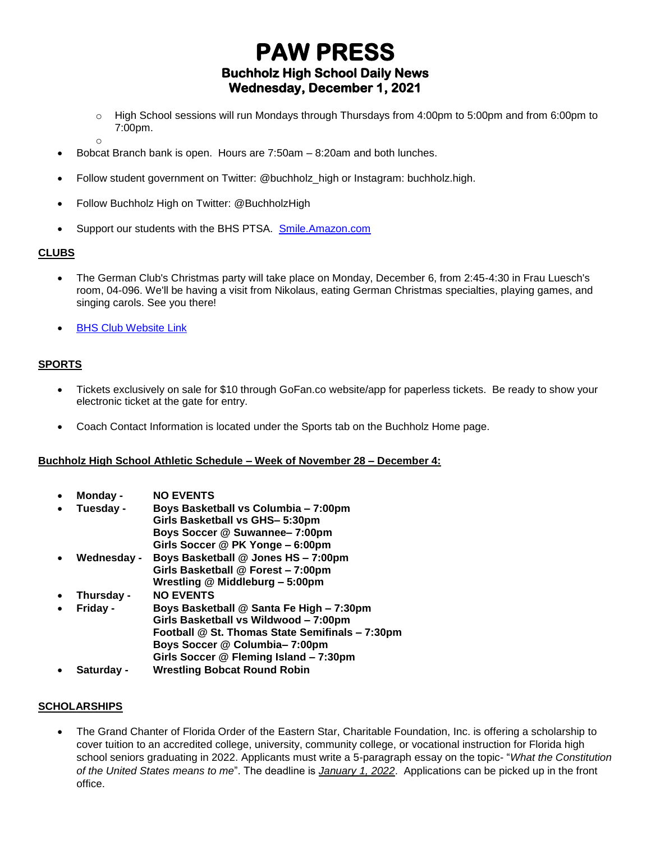# **PAW PRESS Buchholz High School Daily News Wednesday, December 1, 2021**

- o High School sessions will run Mondays through Thursdays from 4:00pm to 5:00pm and from 6:00pm to 7:00pm.
- o
- Bobcat Branch bank is open. Hours are 7:50am 8:20am and both lunches.
- Follow student government on Twitter: @buchholz\_high or Instagram: buchholz.high.
- Follow Buchholz High on Twitter: @BuchholzHigh
- Support our students with the BHS PTSA. [Smile.Amazon.com](http://smile.amazon.com/)

### **CLUBS**

- The German Club's Christmas party will take place on Monday, December 6, from 2:45-4:30 in Frau Luesch's room, 04-096. We'll be having a visit from Nikolaus, eating German Christmas specialties, playing games, and singing carols. See you there!
- **[BHS Club Website Link](https://www.sbac.edu/domain/1650)**

### **SPORTS**

- Tickets exclusively on sale for \$10 through GoFan.co website/app for paperless tickets. Be ready to show your electronic ticket at the gate for entry.
- Coach Contact Information is located under the Sports tab on the Buchholz Home page.

#### **Buchholz High School Athletic Schedule – Week of November 28 – December 4:**

- **Monday - NO EVENTS**
- **Tuesday - Boys Basketball vs Columbia – 7:00pm Girls Basketball vs GHS– 5:30pm Boys Soccer @ Suwannee– 7:00pm Girls Soccer @ PK Yonge – 6:00pm**
- **Wednesday - Boys Basketball @ Jones HS – 7:00pm**
- **Girls Basketball @ Forest – 7:00pm Wrestling @ Middleburg – 5:00pm**
- **Thursday - NO EVENTS**
- **Friday - Boys Basketball @ Santa Fe High – 7:30pm Girls Basketball vs Wildwood – 7:00pm Football @ St. Thomas State Semifinals – 7:30pm Boys Soccer @ Columbia– 7:00pm Girls Soccer @ Fleming Island – 7:30pm**
- **Saturday - Wrestling Bobcat Round Robin**

### **SCHOLARSHIPS**

• The Grand Chanter of Florida Order of the Eastern Star, Charitable Foundation, Inc. is offering a scholarship to cover tuition to an accredited college, university, community college, or vocational instruction for Florida high school seniors graduating in 2022. Applicants must write a 5-paragraph essay on the topic- "*What the Constitution of the United States means to me*". The deadline is *January 1, 2022*. Applications can be picked up in the front office.